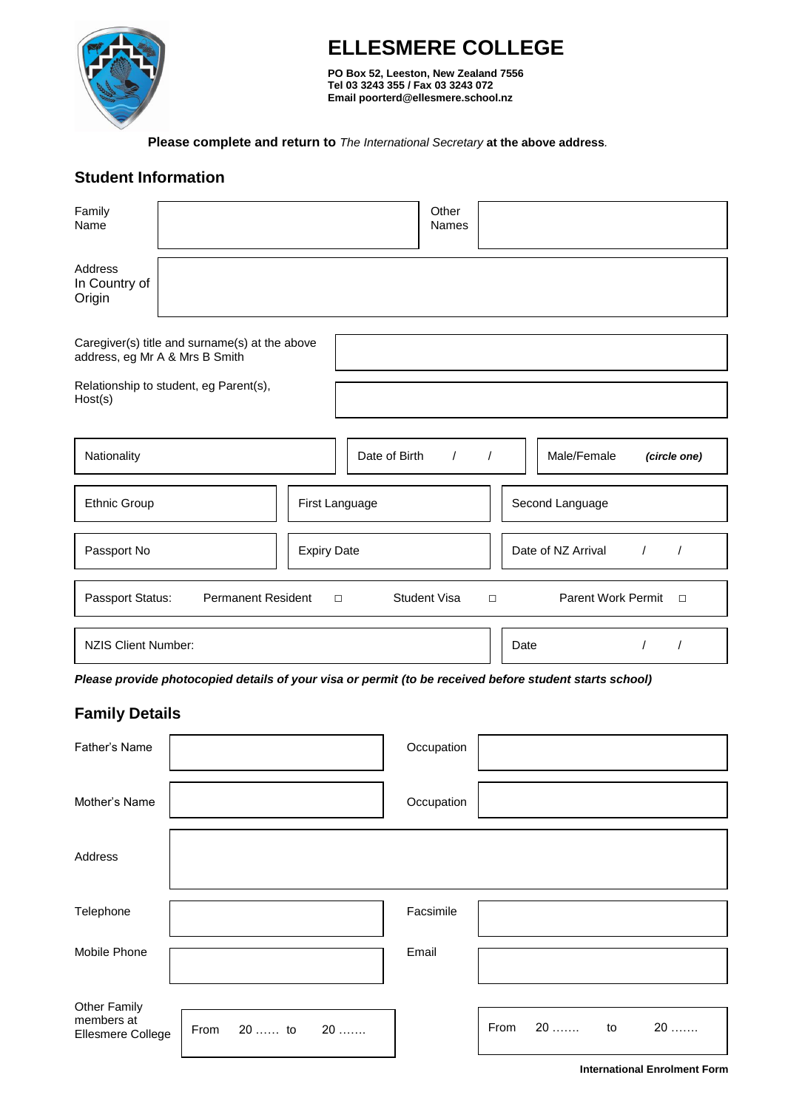

# **ELLESMERE COLLEGE**

**PO Box 52, Leeston, New Zealand 7556 Tel 03 3243 355 / Fax 03 3243 072 Email poorterd@ellesmere.school.nz**

 **Please complete and return to** *The International Secretary* **at the above address***.*

# **Student Information**

| Family<br>Name                     |                                                                                  |                    |               | Other<br><b>Names</b> |          |                                              |
|------------------------------------|----------------------------------------------------------------------------------|--------------------|---------------|-----------------------|----------|----------------------------------------------|
| Address<br>In Country of<br>Origin |                                                                                  |                    |               |                       |          |                                              |
|                                    | Caregiver(s) title and surname(s) at the above<br>address, eg Mr A & Mrs B Smith |                    |               |                       |          |                                              |
| Host(s)                            | Relationship to student, eg Parent(s),                                           |                    |               |                       |          |                                              |
|                                    |                                                                                  |                    |               |                       |          |                                              |
| Nationality                        |                                                                                  |                    | Date of Birth | $\prime$              | $\prime$ | Male/Female<br>(circle one)                  |
| Ethnic Group                       |                                                                                  | First Language     |               |                       |          | Second Language                              |
| Passport No                        |                                                                                  | <b>Expiry Date</b> |               |                       |          | Date of NZ Arrival<br>$\sqrt{ }$<br>$\prime$ |
| Passport Status:                   | <b>Permanent Resident</b>                                                        | $\Box$             |               | <b>Student Visa</b>   | $\Box$   | Parent Work Permit<br>$\Box$                 |
| <b>NZIS Client Number:</b>         |                                                                                  |                    |               |                       |          | Date                                         |

*Please provide photocopied details of your visa or permit (to be received before student starts school)*

# **Family Details**

| Father's Name                                          |                   | Occupation |                        |
|--------------------------------------------------------|-------------------|------------|------------------------|
| Mother's Name                                          |                   | Occupation |                        |
| Address                                                |                   |            |                        |
| Telephone                                              |                   | Facsimile  |                        |
| Mobile Phone                                           |                   | Email      |                        |
| <b>Other Family</b><br>members at<br>Ellesmere College | 20  to 20<br>From |            | 20  to<br>From<br>$20$ |

**International Enrolment Form**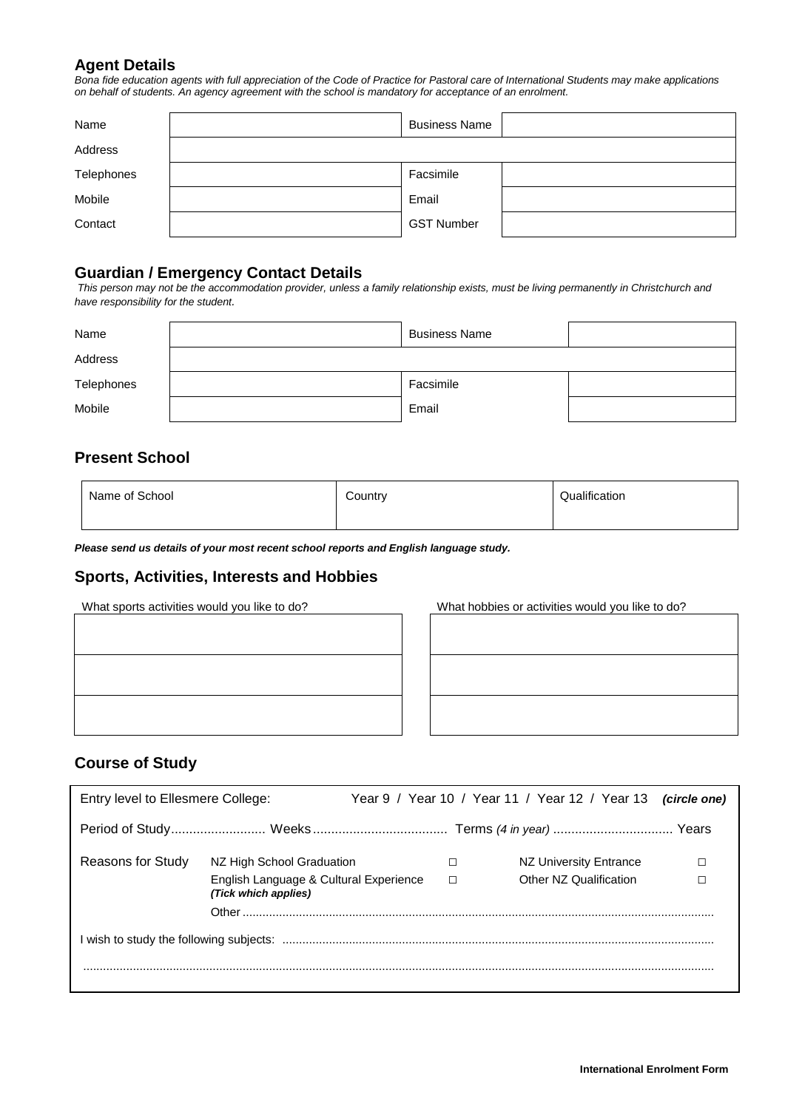### **Agent Details**

*Bona fide education agents with full appreciation of the Code of Practice for Pastoral care of International Students may make applications on behalf of students. An agency agreement with the school is mandatory for acceptance of an enrolment.*

| Name       | <b>Business Name</b> |  |
|------------|----------------------|--|
| Address    |                      |  |
| Telephones | Facsimile            |  |
| Mobile     | Email                |  |
| Contact    | <b>GST Number</b>    |  |

# **Guardian / Emergency Contact Details**

*This person may not be the accommodation provider, unless a family relationship exists, must be living permanently in Christchurch and have responsibility for the student.*

| Name       | <b>Business Name</b> |  |
|------------|----------------------|--|
| Address    |                      |  |
| Telephones | Facsimile            |  |
| Mobile     | Email                |  |

# **Present School**

**Course of Study**

| Name of School | Country | Qualification |
|----------------|---------|---------------|
|                |         |               |

*Please send us details of your most recent school reports and English language study.*

#### **Sports, Activities, Interests and Hobbies**

What sports activities would you like to do? What hobbies or activities would you like to do?



**Student's Health Record** Entry level to Ellesmere College: Year 9 / Year 10 / Year 11 / Year 12 / Year 13 *(circle one)* Period of Study.......................... Weeks ..................................... Terms *(4 in year)* ................................. Years Reasons for Study NZ High School Graduation □ □ NZ University Entrance □ English Language & Cultural Experience □ Other NZ Qualification □ *(Tick which applies)* Other .............................................................................................................................................. I wish to study the following subjects: .................................................................................................................................. ..............................................................................................................................................................................................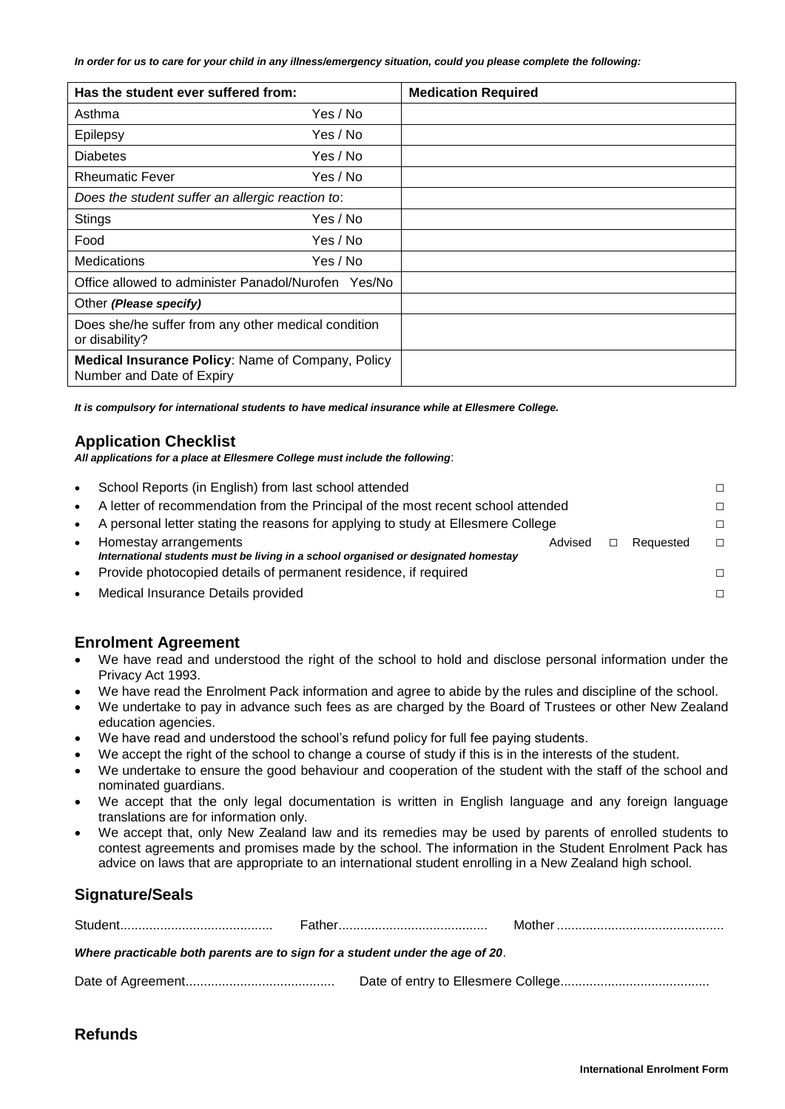*In order for us to care for your child in any illness/emergency situation, could you please complete the following:*

| Has the student ever suffered from:                                            |          | <b>Medication Required</b> |
|--------------------------------------------------------------------------------|----------|----------------------------|
| Asthma                                                                         | Yes / No |                            |
| Epilepsy                                                                       | Yes / No |                            |
| <b>Diabetes</b>                                                                | Yes / No |                            |
| <b>Rheumatic Fever</b>                                                         | Yes / No |                            |
| Does the student suffer an allergic reaction to:                               |          |                            |
| <b>Stings</b>                                                                  | Yes / No |                            |
| Food                                                                           | Yes / No |                            |
| Medications                                                                    | Yes / No |                            |
| Office allowed to administer Panadol/Nurofen Yes/No                            |          |                            |
| Other (Please specify)                                                         |          |                            |
| Does she/he suffer from any other medical condition<br>or disability?          |          |                            |
| Medical Insurance Policy: Name of Company, Policy<br>Number and Date of Expiry |          |                            |

*It is compulsory for international students to have medical insurance while at Ellesmere College.*

#### **Application Checklist**

*All applications for a place at Ellesmere College must include the following*:

| $\bullet$ | School Reports (in English) from last school attended                                                       |         |  |           | П. |
|-----------|-------------------------------------------------------------------------------------------------------------|---------|--|-----------|----|
| $\bullet$ | A letter of recommendation from the Principal of the most recent school attended                            |         |  | П.        |    |
| $\bullet$ | A personal letter stating the reasons for applying to study at Ellesmere College                            |         |  |           | П. |
| $\bullet$ | Homestay arrangements<br>International students must be living in a school organised or designated homestay | Advised |  | Requested | П. |
| $\bullet$ | Provide photocopied details of permanent residence, if required                                             |         |  |           | П. |
| $\bullet$ | Medical Insurance Details provided                                                                          |         |  |           | П. |

#### **Enrolment Agreement**

- We have read and understood the right of the school to hold and disclose personal information under the Privacy Act 1993.
- We have read the Enrolment Pack information and agree to abide by the rules and discipline of the school.
- We undertake to pay in advance such fees as are charged by the Board of Trustees or other New Zealand education agencies.
- We have read and understood the school's refund policy for full fee paying students.
- We accept the right of the school to change a course of study if this is in the interests of the student.
- We undertake to ensure the good behaviour and cooperation of the student with the staff of the school and nominated guardians.
- We accept that the only legal documentation is written in English language and any foreign language translations are for information only.
- We accept that, only New Zealand law and its remedies may be used by parents of enrolled students to contest agreements and promises made by the school. The information in the Student Enrolment Pack has advice on laws that are appropriate to an international student enrolling in a New Zealand high school.

# **Signature/Seals**

| Where practicable both parents are to sign for a student under the age of 20. |  |  |  |  |  |
|-------------------------------------------------------------------------------|--|--|--|--|--|
|                                                                               |  |  |  |  |  |